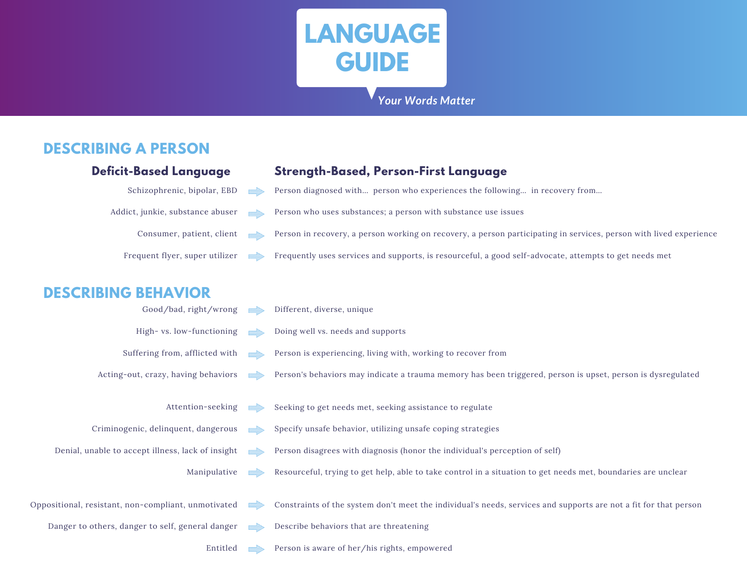

#### *Your Words Matter*

### **DESCRIBING A PERSON**

| <b>Deficit-Based Language</b>                       |                           | <b>Strength-Based, Person-First Language</b>                                                                       |  |
|-----------------------------------------------------|---------------------------|--------------------------------------------------------------------------------------------------------------------|--|
| Schizophrenic, bipolar, EBD                         | <b>umilip</b>             | Person diagnosed with person who experiences the following in recovery from                                        |  |
| Addict, junkie, substance abuser                    |                           | Person who uses substances; a person with substance use issues                                                     |  |
| Consumer, patient, client                           | voordina                  | Person in recovery, a person working on recovery, a person participating in services, person with lived experience |  |
| Frequent flyer, super utilizer                      |                           | Frequently uses services and supports, is resourceful, a good self-advocate, attempts to get needs met             |  |
| <b>DESCRIBING BEHAVIOR</b>                          |                           |                                                                                                                    |  |
| Good/bad, right/wrong                               | voordillin                | Different, diverse, unique                                                                                         |  |
| High-vs. low-functioning                            | voordittin                | Doing well vs. needs and supports                                                                                  |  |
| Suffering from, afflicted with                      |                           | Person is experiencing, living with, working to recover from                                                       |  |
| Acting-out, crazy, having behaviors                 | <b>VIIIIIIIIIII</b> IIIII | Person's behaviors may indicate a trauma memory has been triggered, person is upset, person is dysregulated        |  |
| Attention-seeking                                   | vanallino                 | Seeking to get needs met, seeking assistance to regulate                                                           |  |
| Criminogenic, delinquent, dangerous                 |                           | Specify unsafe behavior, utilizing unsafe coping strategies                                                        |  |
| Denial, unable to accept illness, lack of insight   |                           | Person disagrees with diagnosis (honor the individual's perception of self)                                        |  |
| Manipulative                                        |                           | Resourceful, trying to get help, able to take control in a situation to get needs met, boundaries are unclear      |  |
| Oppositional, resistant, non-compliant, unmotivated | <u>umilip</u>             | Constraints of the system don't meet the individual's needs, services and supports are not a fit for that person   |  |
| Danger to others, danger to self, general danger    | vallin                    | Describe behaviors that are threatening                                                                            |  |
| Entitled                                            |                           | Person is aware of her/his rights, empowered                                                                       |  |